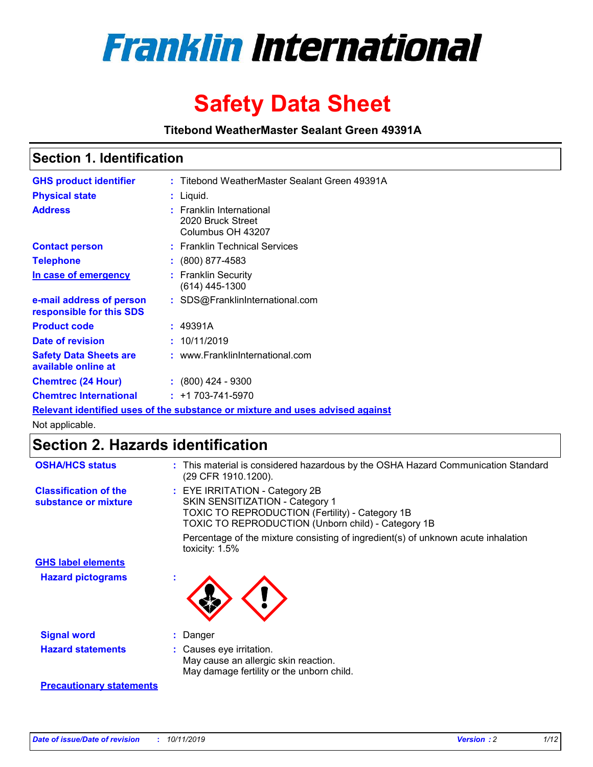

# **Safety Data Sheet**

**Titebond WeatherMaster Sealant Green 49391A**

### **Section 1. Identification**

| <b>GHS product identifier</b>                        | : Titebond WeatherMaster Sealant Green 49391A                                 |
|------------------------------------------------------|-------------------------------------------------------------------------------|
| <b>Physical state</b>                                | : Liquid.                                                                     |
| <b>Address</b>                                       | <b>Franklin International</b><br>2020 Bruck Street<br>Columbus OH 43207       |
| <b>Contact person</b>                                | : Franklin Technical Services                                                 |
| <b>Telephone</b>                                     | $\colon$ (800) 877-4583                                                       |
| In case of emergency                                 | : Franklin Security<br>(614) 445-1300                                         |
| e-mail address of person<br>responsible for this SDS | : SDS@FranklinInternational.com                                               |
| <b>Product code</b>                                  | : 49391A                                                                      |
| Date of revision                                     | : 10/11/2019                                                                  |
| <b>Safety Data Sheets are</b><br>available online at | : www.FranklinInternational.com                                               |
| <b>Chemtrec (24 Hour)</b>                            | $\cdot$ (800) 424 - 9300                                                      |
| <b>Chemtrec International</b>                        | $: +1703 - 741 - 5970$                                                        |
|                                                      | Relevant identified uses of the substance or mixture and uses advised against |

Not applicable.

## **Section 2. Hazards identification**

| <b>OSHA/HCS status</b>                               | : This material is considered hazardous by the OSHA Hazard Communication Standard<br>(29 CFR 1910.1200).                                                                                 |
|------------------------------------------------------|------------------------------------------------------------------------------------------------------------------------------------------------------------------------------------------|
| <b>Classification of the</b><br>substance or mixture | : EYE IRRITATION - Category 2B<br>SKIN SENSITIZATION - Category 1<br><b>TOXIC TO REPRODUCTION (Fertility) - Category 1B</b><br><b>TOXIC TO REPRODUCTION (Unborn child) - Category 1B</b> |
|                                                      | Percentage of the mixture consisting of ingredient(s) of unknown acute inhalation<br>toxicity: $1.5\%$                                                                                   |
| <b>GHS label elements</b>                            |                                                                                                                                                                                          |
| <b>Hazard pictograms</b>                             |                                                                                                                                                                                          |
| <b>Signal word</b>                                   | : Danger                                                                                                                                                                                 |
| <b>Hazard statements</b>                             | : Causes eye irritation.<br>May cause an allergic skin reaction.<br>May damage fertility or the unborn child.                                                                            |
| <b>Precautionary statements</b>                      |                                                                                                                                                                                          |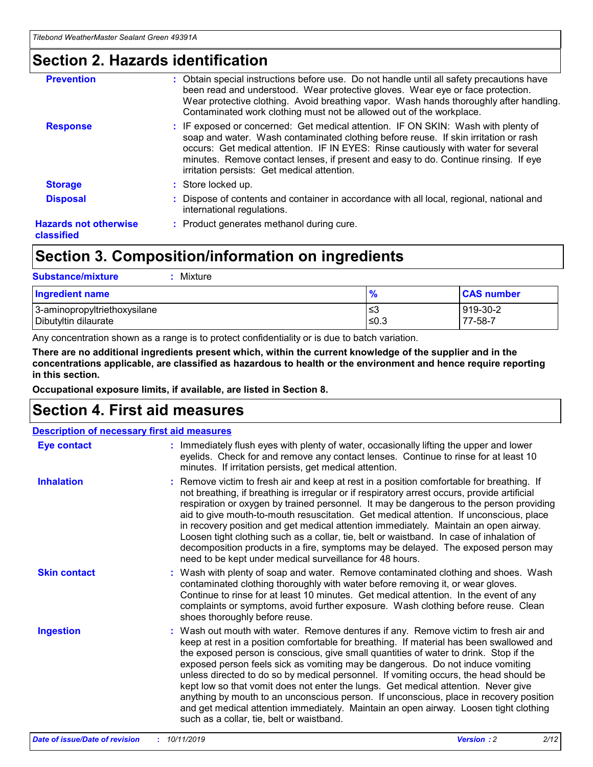### **Section 2. Hazards identification**

| <b>Prevention</b>                          | : Obtain special instructions before use. Do not handle until all safety precautions have<br>been read and understood. Wear protective gloves. Wear eye or face protection.<br>Wear protective clothing. Avoid breathing vapor. Wash hands thoroughly after handling.<br>Contaminated work clothing must not be allowed out of the workplace.                                                        |
|--------------------------------------------|------------------------------------------------------------------------------------------------------------------------------------------------------------------------------------------------------------------------------------------------------------------------------------------------------------------------------------------------------------------------------------------------------|
| <b>Response</b>                            | : IF exposed or concerned: Get medical attention. IF ON SKIN: Wash with plenty of<br>soap and water. Wash contaminated clothing before reuse. If skin irritation or rash<br>occurs: Get medical attention. IF IN EYES: Rinse cautiously with water for several<br>minutes. Remove contact lenses, if present and easy to do. Continue rinsing. If eye<br>irritation persists: Get medical attention. |
| <b>Storage</b>                             | : Store locked up.                                                                                                                                                                                                                                                                                                                                                                                   |
| <b>Disposal</b>                            | : Dispose of contents and container in accordance with all local, regional, national and<br>international regulations.                                                                                                                                                                                                                                                                               |
| <b>Hazards not otherwise</b><br>classified | : Product generates methanol during cure.                                                                                                                                                                                                                                                                                                                                                            |
|                                            |                                                                                                                                                                                                                                                                                                                                                                                                      |

### **Section 3. Composition/information on ingredients**

| <b>Substance/mixture</b><br>Mixture                  |               |                     |
|------------------------------------------------------|---------------|---------------------|
| <b>Ingredient name</b>                               | $\frac{9}{6}$ | <b>CAS number</b>   |
| 3-aminopropyltriethoxysilane<br>Dibutyltin dilaurate | ≤3<br>$≤0.3$  | 919-30-2<br>77-58-7 |

Any concentration shown as a range is to protect confidentiality or is due to batch variation.

**There are no additional ingredients present which, within the current knowledge of the supplier and in the concentrations applicable, are classified as hazardous to health or the environment and hence require reporting in this section.**

**Occupational exposure limits, if available, are listed in Section 8.**

### **Section 4. First aid measures**

| <b>Description of necessary first aid measures</b> |                                                                                                                                                                                                                                                                                                                                                                                                                                                                                                                                                                                                                                                                                                                                                                           |  |  |  |
|----------------------------------------------------|---------------------------------------------------------------------------------------------------------------------------------------------------------------------------------------------------------------------------------------------------------------------------------------------------------------------------------------------------------------------------------------------------------------------------------------------------------------------------------------------------------------------------------------------------------------------------------------------------------------------------------------------------------------------------------------------------------------------------------------------------------------------------|--|--|--|
| <b>Eye contact</b>                                 | : Immediately flush eyes with plenty of water, occasionally lifting the upper and lower<br>eyelids. Check for and remove any contact lenses. Continue to rinse for at least 10<br>minutes. If irritation persists, get medical attention.                                                                                                                                                                                                                                                                                                                                                                                                                                                                                                                                 |  |  |  |
| <b>Inhalation</b>                                  | : Remove victim to fresh air and keep at rest in a position comfortable for breathing. If<br>not breathing, if breathing is irregular or if respiratory arrest occurs, provide artificial<br>respiration or oxygen by trained personnel. It may be dangerous to the person providing<br>aid to give mouth-to-mouth resuscitation. Get medical attention. If unconscious, place<br>in recovery position and get medical attention immediately. Maintain an open airway.<br>Loosen tight clothing such as a collar, tie, belt or waistband. In case of inhalation of<br>decomposition products in a fire, symptoms may be delayed. The exposed person may<br>need to be kept under medical surveillance for 48 hours.                                                       |  |  |  |
| <b>Skin contact</b>                                | : Wash with plenty of soap and water. Remove contaminated clothing and shoes. Wash<br>contaminated clothing thoroughly with water before removing it, or wear gloves.<br>Continue to rinse for at least 10 minutes. Get medical attention. In the event of any<br>complaints or symptoms, avoid further exposure. Wash clothing before reuse. Clean<br>shoes thoroughly before reuse.                                                                                                                                                                                                                                                                                                                                                                                     |  |  |  |
| <b>Ingestion</b>                                   | : Wash out mouth with water. Remove dentures if any. Remove victim to fresh air and<br>keep at rest in a position comfortable for breathing. If material has been swallowed and<br>the exposed person is conscious, give small quantities of water to drink. Stop if the<br>exposed person feels sick as vomiting may be dangerous. Do not induce vomiting<br>unless directed to do so by medical personnel. If vomiting occurs, the head should be<br>kept low so that vomit does not enter the lungs. Get medical attention. Never give<br>anything by mouth to an unconscious person. If unconscious, place in recovery position<br>and get medical attention immediately. Maintain an open airway. Loosen tight clothing<br>such as a collar, tie, belt or waistband. |  |  |  |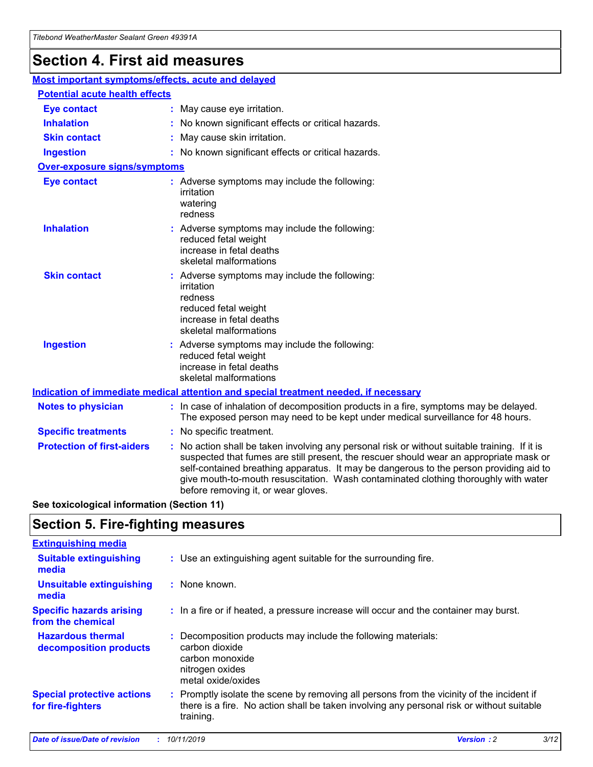## **Section 4. First aid measures**

| Most important symptoms/effects, acute and delayed |  |                                                                                                                                                                                                                                                                                                                                                                                                                 |  |
|----------------------------------------------------|--|-----------------------------------------------------------------------------------------------------------------------------------------------------------------------------------------------------------------------------------------------------------------------------------------------------------------------------------------------------------------------------------------------------------------|--|
| <b>Potential acute health effects</b>              |  |                                                                                                                                                                                                                                                                                                                                                                                                                 |  |
| Eye contact                                        |  | : May cause eye irritation.                                                                                                                                                                                                                                                                                                                                                                                     |  |
| <b>Inhalation</b>                                  |  | : No known significant effects or critical hazards.                                                                                                                                                                                                                                                                                                                                                             |  |
| <b>Skin contact</b>                                |  | : May cause skin irritation.                                                                                                                                                                                                                                                                                                                                                                                    |  |
| <b>Ingestion</b>                                   |  | : No known significant effects or critical hazards.                                                                                                                                                                                                                                                                                                                                                             |  |
| Over-exposure signs/symptoms                       |  |                                                                                                                                                                                                                                                                                                                                                                                                                 |  |
| <b>Eye contact</b>                                 |  | : Adverse symptoms may include the following:<br>irritation<br>watering<br>redness                                                                                                                                                                                                                                                                                                                              |  |
| <b>Inhalation</b>                                  |  | : Adverse symptoms may include the following:<br>reduced fetal weight<br>increase in fetal deaths<br>skeletal malformations                                                                                                                                                                                                                                                                                     |  |
| <b>Skin contact</b>                                |  | : Adverse symptoms may include the following:<br>irritation<br>redness<br>reduced fetal weight<br>increase in fetal deaths<br>skeletal malformations                                                                                                                                                                                                                                                            |  |
| <b>Ingestion</b>                                   |  | : Adverse symptoms may include the following:<br>reduced fetal weight<br>increase in fetal deaths<br>skeletal malformations                                                                                                                                                                                                                                                                                     |  |
|                                                    |  | <b>Indication of immediate medical attention and special treatment needed, if necessary</b>                                                                                                                                                                                                                                                                                                                     |  |
| <b>Notes to physician</b>                          |  | : In case of inhalation of decomposition products in a fire, symptoms may be delayed.<br>The exposed person may need to be kept under medical surveillance for 48 hours.                                                                                                                                                                                                                                        |  |
| <b>Specific treatments</b>                         |  | : No specific treatment.                                                                                                                                                                                                                                                                                                                                                                                        |  |
| <b>Protection of first-aiders</b>                  |  | : No action shall be taken involving any personal risk or without suitable training. If it is<br>suspected that fumes are still present, the rescuer should wear an appropriate mask or<br>self-contained breathing apparatus. It may be dangerous to the person providing aid to<br>give mouth-to-mouth resuscitation. Wash contaminated clothing thoroughly with water<br>before removing it, or wear gloves. |  |

**See toxicological information (Section 11)**

### **Section 5. Fire-fighting measures**

| <b>Extinguishing media</b>                             |                                                                                                                                                                                                     |
|--------------------------------------------------------|-----------------------------------------------------------------------------------------------------------------------------------------------------------------------------------------------------|
| <b>Suitable extinguishing</b><br>media                 | : Use an extinguishing agent suitable for the surrounding fire.                                                                                                                                     |
| <b>Unsuitable extinguishing</b><br>media               | : None known.                                                                                                                                                                                       |
| <b>Specific hazards arising</b><br>from the chemical   | : In a fire or if heated, a pressure increase will occur and the container may burst.                                                                                                               |
| <b>Hazardous thermal</b><br>decomposition products     | : Decomposition products may include the following materials:<br>carbon dioxide<br>carbon monoxide<br>nitrogen oxides<br>metal oxide/oxides                                                         |
| <b>Special protective actions</b><br>for fire-fighters | : Promptly isolate the scene by removing all persons from the vicinity of the incident if<br>there is a fire. No action shall be taken involving any personal risk or without suitable<br>training. |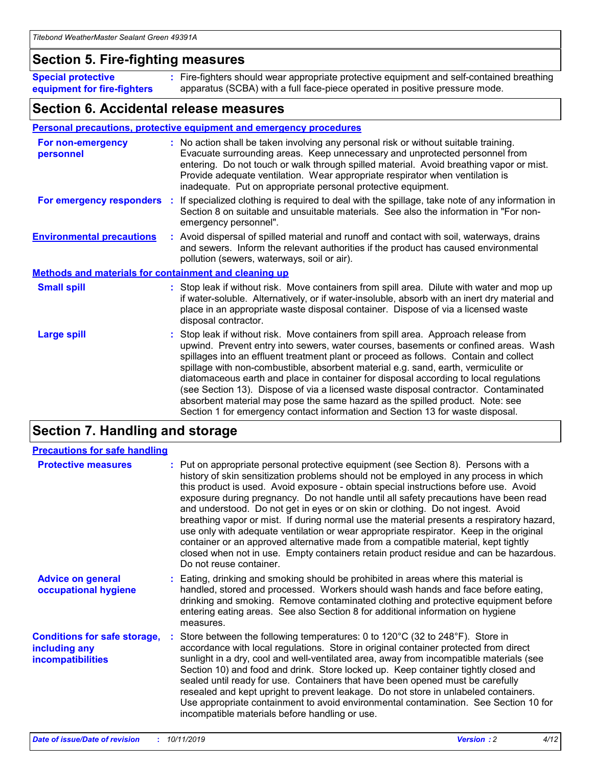### **Section 5. Fire-fighting measures**

**Special protective equipment for fire-fighters** Fire-fighters should wear appropriate protective equipment and self-contained breathing **:** apparatus (SCBA) with a full face-piece operated in positive pressure mode.

### **Section 6. Accidental release measures**

#### **Personal precautions, protective equipment and emergency procedures**

| For non-emergency<br>personnel                               |  | : No action shall be taken involving any personal risk or without suitable training.<br>Evacuate surrounding areas. Keep unnecessary and unprotected personnel from<br>entering. Do not touch or walk through spilled material. Avoid breathing vapor or mist.<br>Provide adequate ventilation. Wear appropriate respirator when ventilation is<br>inadequate. Put on appropriate personal protective equipment.                                                                                                                                                                                                                                                                                             |  |  |
|--------------------------------------------------------------|--|--------------------------------------------------------------------------------------------------------------------------------------------------------------------------------------------------------------------------------------------------------------------------------------------------------------------------------------------------------------------------------------------------------------------------------------------------------------------------------------------------------------------------------------------------------------------------------------------------------------------------------------------------------------------------------------------------------------|--|--|
| For emergency responders                                     |  | : If specialized clothing is required to deal with the spillage, take note of any information in<br>Section 8 on suitable and unsuitable materials. See also the information in "For non-<br>emergency personnel".                                                                                                                                                                                                                                                                                                                                                                                                                                                                                           |  |  |
| <b>Environmental precautions</b>                             |  | : Avoid dispersal of spilled material and runoff and contact with soil, waterways, drains<br>and sewers. Inform the relevant authorities if the product has caused environmental<br>pollution (sewers, waterways, soil or air).                                                                                                                                                                                                                                                                                                                                                                                                                                                                              |  |  |
| <b>Methods and materials for containment and cleaning up</b> |  |                                                                                                                                                                                                                                                                                                                                                                                                                                                                                                                                                                                                                                                                                                              |  |  |
| <b>Small spill</b>                                           |  | : Stop leak if without risk. Move containers from spill area. Dilute with water and mop up<br>if water-soluble. Alternatively, or if water-insoluble, absorb with an inert dry material and<br>place in an appropriate waste disposal container. Dispose of via a licensed waste<br>disposal contractor.                                                                                                                                                                                                                                                                                                                                                                                                     |  |  |
| <b>Large spill</b>                                           |  | : Stop leak if without risk. Move containers from spill area. Approach release from<br>upwind. Prevent entry into sewers, water courses, basements or confined areas. Wash<br>spillages into an effluent treatment plant or proceed as follows. Contain and collect<br>spillage with non-combustible, absorbent material e.g. sand, earth, vermiculite or<br>diatomaceous earth and place in container for disposal according to local regulations<br>(see Section 13). Dispose of via a licensed waste disposal contractor. Contaminated<br>absorbent material may pose the same hazard as the spilled product. Note: see<br>Section 1 for emergency contact information and Section 13 for waste disposal. |  |  |

### **Section 7. Handling and storage**

| <b>Precautions for safe handling</b>                                             |                                                                                                                                                                                                                                                                                                                                                                                                                                                                                                                                                                                                                                                                                                                                                                                                                                                  |
|----------------------------------------------------------------------------------|--------------------------------------------------------------------------------------------------------------------------------------------------------------------------------------------------------------------------------------------------------------------------------------------------------------------------------------------------------------------------------------------------------------------------------------------------------------------------------------------------------------------------------------------------------------------------------------------------------------------------------------------------------------------------------------------------------------------------------------------------------------------------------------------------------------------------------------------------|
| <b>Protective measures</b>                                                       | : Put on appropriate personal protective equipment (see Section 8). Persons with a<br>history of skin sensitization problems should not be employed in any process in which<br>this product is used. Avoid exposure - obtain special instructions before use. Avoid<br>exposure during pregnancy. Do not handle until all safety precautions have been read<br>and understood. Do not get in eyes or on skin or clothing. Do not ingest. Avoid<br>breathing vapor or mist. If during normal use the material presents a respiratory hazard,<br>use only with adequate ventilation or wear appropriate respirator. Keep in the original<br>container or an approved alternative made from a compatible material, kept tightly<br>closed when not in use. Empty containers retain product residue and can be hazardous.<br>Do not reuse container. |
| <b>Advice on general</b><br>occupational hygiene                                 | : Eating, drinking and smoking should be prohibited in areas where this material is<br>handled, stored and processed. Workers should wash hands and face before eating,<br>drinking and smoking. Remove contaminated clothing and protective equipment before<br>entering eating areas. See also Section 8 for additional information on hygiene<br>measures.                                                                                                                                                                                                                                                                                                                                                                                                                                                                                    |
| <b>Conditions for safe storage,</b><br>including any<br><b>incompatibilities</b> | Store between the following temperatures: 0 to 120°C (32 to 248°F). Store in<br>accordance with local regulations. Store in original container protected from direct<br>sunlight in a dry, cool and well-ventilated area, away from incompatible materials (see<br>Section 10) and food and drink. Store locked up. Keep container tightly closed and<br>sealed until ready for use. Containers that have been opened must be carefully<br>resealed and kept upright to prevent leakage. Do not store in unlabeled containers.<br>Use appropriate containment to avoid environmental contamination. See Section 10 for<br>incompatible materials before handling or use.                                                                                                                                                                         |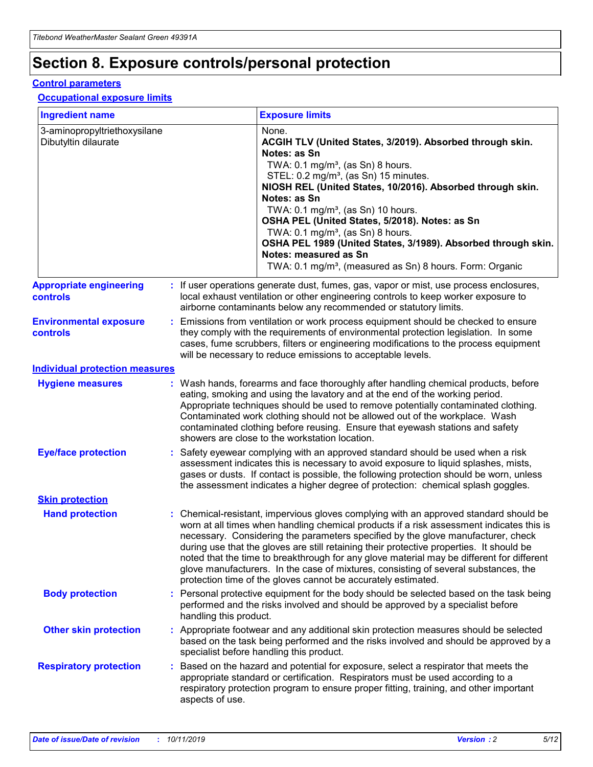## **Section 8. Exposure controls/personal protection**

#### **Control parameters**

#### **Occupational exposure limits**

| <b>Ingredient name</b>                               |    |                                          | <b>Exposure limits</b>                                                                                                                                                                                                                                                                                                                                                                                                                                                                                                                                                                                                 |
|------------------------------------------------------|----|------------------------------------------|------------------------------------------------------------------------------------------------------------------------------------------------------------------------------------------------------------------------------------------------------------------------------------------------------------------------------------------------------------------------------------------------------------------------------------------------------------------------------------------------------------------------------------------------------------------------------------------------------------------------|
| 3-aminopropyltriethoxysilane<br>Dibutyltin dilaurate |    |                                          | None.<br>ACGIH TLV (United States, 3/2019). Absorbed through skin.<br>Notes: as Sn<br>TWA: 0.1 mg/m <sup>3</sup> , (as Sn) 8 hours.<br>STEL: 0.2 mg/m <sup>3</sup> , (as Sn) 15 minutes.<br>NIOSH REL (United States, 10/2016). Absorbed through skin.<br>Notes: as Sn<br>TWA: 0.1 mg/m <sup>3</sup> , (as Sn) 10 hours.<br>OSHA PEL (United States, 5/2018). Notes: as Sn<br>TWA: $0.1 \text{ mg/m}^3$ , (as Sn) 8 hours.<br>OSHA PEL 1989 (United States, 3/1989). Absorbed through skin.<br>Notes: measured as Sn<br>TWA: 0.1 mg/m <sup>3</sup> , (measured as Sn) 8 hours. Form: Organic                           |
| <b>Appropriate engineering</b><br>controls           |    |                                          | : If user operations generate dust, fumes, gas, vapor or mist, use process enclosures,<br>local exhaust ventilation or other engineering controls to keep worker exposure to<br>airborne contaminants below any recommended or statutory limits.                                                                                                                                                                                                                                                                                                                                                                       |
| <b>Environmental exposure</b><br><b>controls</b>     |    |                                          | Emissions from ventilation or work process equipment should be checked to ensure<br>they comply with the requirements of environmental protection legislation. In some<br>cases, fume scrubbers, filters or engineering modifications to the process equipment<br>will be necessary to reduce emissions to acceptable levels.                                                                                                                                                                                                                                                                                          |
| <b>Individual protection measures</b>                |    |                                          |                                                                                                                                                                                                                                                                                                                                                                                                                                                                                                                                                                                                                        |
| <b>Hygiene measures</b>                              |    |                                          | : Wash hands, forearms and face thoroughly after handling chemical products, before<br>eating, smoking and using the lavatory and at the end of the working period.<br>Appropriate techniques should be used to remove potentially contaminated clothing.<br>Contaminated work clothing should not be allowed out of the workplace. Wash<br>contaminated clothing before reusing. Ensure that eyewash stations and safety<br>showers are close to the workstation location.                                                                                                                                            |
| <b>Eye/face protection</b>                           |    |                                          | : Safety eyewear complying with an approved standard should be used when a risk<br>assessment indicates this is necessary to avoid exposure to liquid splashes, mists,<br>gases or dusts. If contact is possible, the following protection should be worn, unless<br>the assessment indicates a higher degree of protection: chemical splash goggles.                                                                                                                                                                                                                                                                  |
| <b>Skin protection</b>                               |    |                                          |                                                                                                                                                                                                                                                                                                                                                                                                                                                                                                                                                                                                                        |
| <b>Hand protection</b>                               |    |                                          | : Chemical-resistant, impervious gloves complying with an approved standard should be<br>worn at all times when handling chemical products if a risk assessment indicates this is<br>necessary. Considering the parameters specified by the glove manufacturer, check<br>during use that the gloves are still retaining their protective properties. It should be<br>noted that the time to breakthrough for any glove material may be different for different<br>glove manufacturers. In the case of mixtures, consisting of several substances, the<br>protection time of the gloves cannot be accurately estimated. |
| <b>Body protection</b>                               |    | handling this product.                   | Personal protective equipment for the body should be selected based on the task being<br>performed and the risks involved and should be approved by a specialist before                                                                                                                                                                                                                                                                                                                                                                                                                                                |
| <b>Other skin protection</b>                         |    | specialist before handling this product. | : Appropriate footwear and any additional skin protection measures should be selected<br>based on the task being performed and the risks involved and should be approved by a                                                                                                                                                                                                                                                                                                                                                                                                                                          |
| <b>Respiratory protection</b>                        | ÷. | aspects of use.                          | Based on the hazard and potential for exposure, select a respirator that meets the<br>appropriate standard or certification. Respirators must be used according to a<br>respiratory protection program to ensure proper fitting, training, and other important                                                                                                                                                                                                                                                                                                                                                         |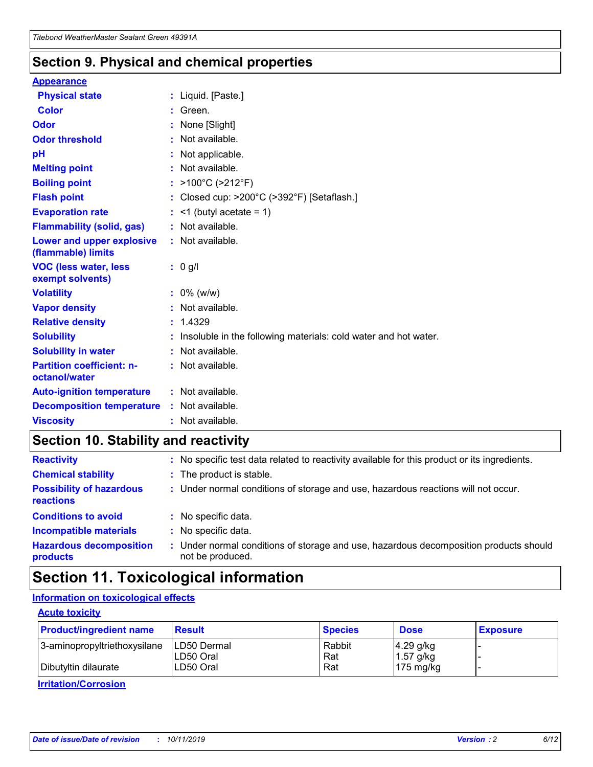### **Section 9. Physical and chemical properties**

#### **Appearance**

| <b>Physical state</b>                             | : Liquid. [Paste.]                                              |
|---------------------------------------------------|-----------------------------------------------------------------|
| Color                                             | Green.                                                          |
| Odor                                              | : None [Slight]                                                 |
| <b>Odor threshold</b>                             | $:$ Not available.                                              |
| рH                                                | : Not applicable.                                               |
| <b>Melting point</b>                              | : Not available.                                                |
| <b>Boiling point</b>                              | : >100°C (>212°F)                                               |
| <b>Flash point</b>                                | : Closed cup: $>200^{\circ}$ C ( $>392^{\circ}$ F) [Setaflash.] |
| <b>Evaporation rate</b>                           | $:$ <1 (butyl acetate = 1)                                      |
| <b>Flammability (solid, gas)</b>                  | : Not available.                                                |
| Lower and upper explosive<br>(flammable) limits   | : Not available.                                                |
| <b>VOC (less water, less</b>                      | $: 0$ g/l                                                       |
| exempt solvents)                                  |                                                                 |
| <b>Volatility</b>                                 | $: 0\%$ (w/w)                                                   |
| <b>Vapor density</b>                              | : Not available.                                                |
| <b>Relative density</b>                           | : 1.4329                                                        |
| <b>Solubility</b>                                 | Insoluble in the following materials: cold water and hot water. |
| <b>Solubility in water</b>                        | : Not available.                                                |
| <b>Partition coefficient: n-</b><br>octanol/water | $:$ Not available.                                              |
| <b>Auto-ignition temperature</b>                  | : Not available.                                                |
| <b>Decomposition temperature</b>                  | : Not available.                                                |

### **Section 10. Stability and reactivity**

| <b>Reactivity</b>                            | : No specific test data related to reactivity available for this product or its ingredients.            |
|----------------------------------------------|---------------------------------------------------------------------------------------------------------|
| <b>Chemical stability</b>                    | : The product is stable.                                                                                |
| <b>Possibility of hazardous</b><br>reactions | : Under normal conditions of storage and use, hazardous reactions will not occur.                       |
| <b>Conditions to avoid</b>                   | : No specific data.                                                                                     |
| <b>Incompatible materials</b>                | : No specific data.                                                                                     |
| <b>Hazardous decomposition</b><br>products   | Under normal conditions of storage and use, hazardous decomposition products should<br>not be produced. |

### **Section 11. Toxicological information**

### **Information on toxicological effects**

#### **Acute toxicity**

| <b>Product/ingredient name</b> | <b>Result</b>           | <b>Species</b> | <b>Dose</b>                | <b>Exposure</b> |
|--------------------------------|-------------------------|----------------|----------------------------|-----------------|
| 3-aminopropyltriethoxysilane   | <b>ILD50 Dermal</b>     | Rabbit         | 4.29 g/kg                  |                 |
| Dibutyltin dilaurate           | ILD50 Oral<br>LD50 Oral | Rat<br>Rat     | $1.57$ g/kg<br>175 $mg/kg$ |                 |
|                                |                         |                |                            |                 |

**Irritation/Corrosion**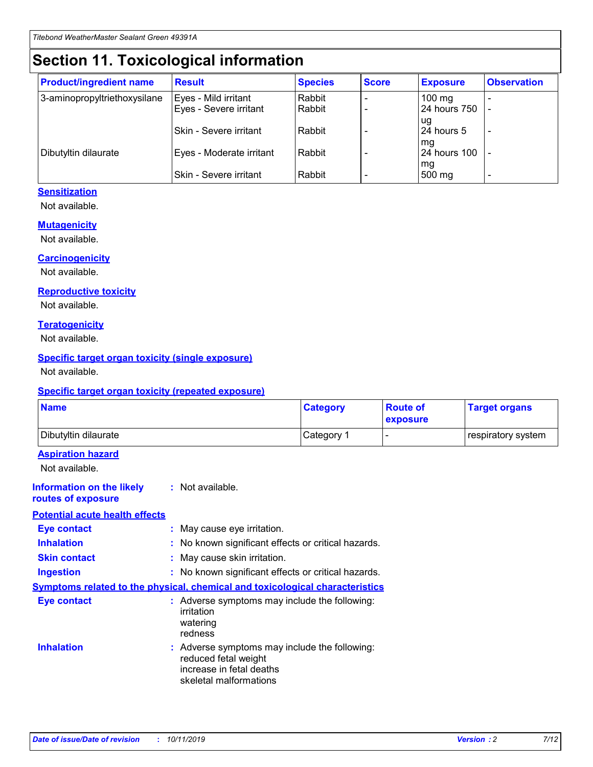## **Section 11. Toxicological information**

| <b>Product/ingredient name</b> | <b>Result</b>            | <b>Species</b> | <b>Score</b> | <b>Exposure</b>           | <b>Observation</b> |
|--------------------------------|--------------------------|----------------|--------------|---------------------------|--------------------|
| 3-aminopropyltriethoxysilane   | Eyes - Mild irritant     | Rabbit         |              | $100$ mg                  |                    |
|                                | Eyes - Severe irritant   | Rabbit         |              | 24 hours 750              |                    |
|                                |                          |                |              | ug                        |                    |
|                                | Skin - Severe irritant   | Rabbit         |              | 24 hours 5                | -                  |
| Dibutyltin dilaurate           | Eyes - Moderate irritant | Rabbit         |              | mq<br><b>24 hours 100</b> |                    |
|                                |                          |                |              | mg                        |                    |
|                                | Skin - Severe irritant   | Rabbit         |              | 500 mg                    |                    |

#### **Sensitization**

Not available.

#### **Mutagenicity**

Not available.

#### **Carcinogenicity**

Not available.

#### **Reproductive toxicity**

Not available.

#### **Teratogenicity**

Not available.

#### **Specific target organ toxicity (single exposure)**

Not available.

#### **Specific target organ toxicity (repeated exposure)**

| <b>Name</b>                                                                  |                                                                                                                             | <b>Category</b> | <b>Route of</b><br>exposure  | <b>Target organs</b> |
|------------------------------------------------------------------------------|-----------------------------------------------------------------------------------------------------------------------------|-----------------|------------------------------|----------------------|
| Dibutyltin dilaurate                                                         |                                                                                                                             | Category 1      | $\qquad \qquad \blacksquare$ | respiratory system   |
| <b>Aspiration hazard</b><br>Not available.                                   |                                                                                                                             |                 |                              |                      |
| <b>Information on the likely</b><br>routes of exposure                       | : Not available.                                                                                                            |                 |                              |                      |
| <b>Potential acute health effects</b>                                        |                                                                                                                             |                 |                              |                      |
| <b>Eye contact</b>                                                           | : May cause eye irritation.                                                                                                 |                 |                              |                      |
| <b>Inhalation</b>                                                            | : No known significant effects or critical hazards.                                                                         |                 |                              |                      |
| <b>Skin contact</b>                                                          | : May cause skin irritation.                                                                                                |                 |                              |                      |
| <b>Ingestion</b>                                                             | : No known significant effects or critical hazards.                                                                         |                 |                              |                      |
| Symptoms related to the physical, chemical and toxicological characteristics |                                                                                                                             |                 |                              |                      |
| <b>Eye contact</b>                                                           | : Adverse symptoms may include the following:<br>irritation<br>watering<br>redness                                          |                 |                              |                      |
| <b>Inhalation</b>                                                            | : Adverse symptoms may include the following:<br>reduced fetal weight<br>increase in fetal deaths<br>skeletal malformations |                 |                              |                      |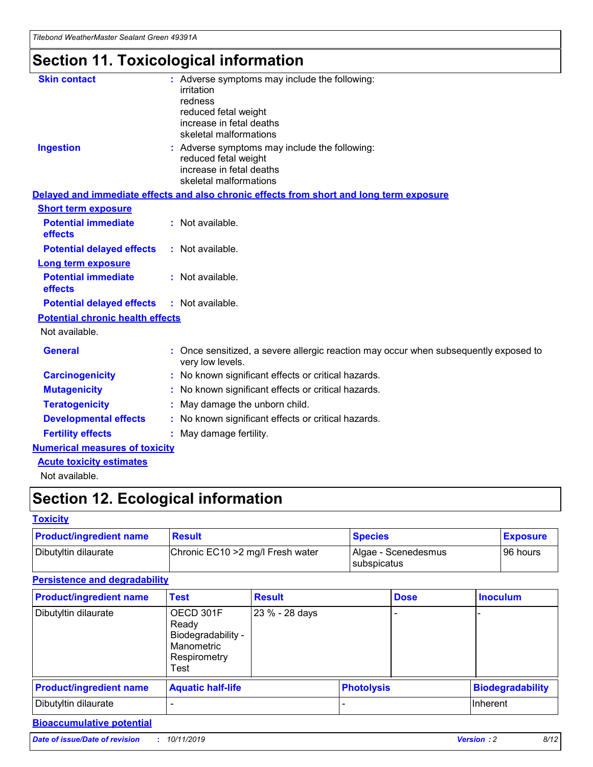## **Section 11. Toxicological information**

| <b>Skin contact</b>                     | : Adverse symptoms may include the following:<br>irritation<br>redness<br>reduced fetal weight<br>increase in fetal deaths<br>skeletal malformations |
|-----------------------------------------|------------------------------------------------------------------------------------------------------------------------------------------------------|
| <b>Ingestion</b>                        | : Adverse symptoms may include the following:<br>reduced fetal weight<br>increase in fetal deaths<br>skeletal malformations                          |
|                                         | Delayed and immediate effects and also chronic effects from short and long term exposure                                                             |
| <b>Short term exposure</b>              |                                                                                                                                                      |
| <b>Potential immediate</b><br>effects   | : Not available.                                                                                                                                     |
| <b>Potential delayed effects</b>        | : Not available.                                                                                                                                     |
| <b>Long term exposure</b>               |                                                                                                                                                      |
| <b>Potential immediate</b><br>effects   | : Not available.                                                                                                                                     |
| <b>Potential delayed effects</b>        | : Not available.                                                                                                                                     |
| <b>Potential chronic health effects</b> |                                                                                                                                                      |
| Not available.                          |                                                                                                                                                      |
| <b>General</b>                          | : Once sensitized, a severe allergic reaction may occur when subsequently exposed to<br>very low levels.                                             |
| <b>Carcinogenicity</b>                  | : No known significant effects or critical hazards.                                                                                                  |
| <b>Mutagenicity</b>                     | No known significant effects or critical hazards.                                                                                                    |
| <b>Teratogenicity</b>                   | May damage the unborn child.                                                                                                                         |
| <b>Developmental effects</b>            | No known significant effects or critical hazards.                                                                                                    |
| <b>Fertility effects</b>                | : May damage fertility.                                                                                                                              |
| <b>Numerical measures of toxicity</b>   |                                                                                                                                                      |
| <b>Acute toxicity estimates</b>         |                                                                                                                                                      |
|                                         |                                                                                                                                                      |

Not available.

## **Section 12. Ecological information**

#### **Toxicity**

| <b>Product/ingredient name</b> | <b>Result</b>                     | <b>Species</b>                       | <b>Exposure</b> |
|--------------------------------|-----------------------------------|--------------------------------------|-----------------|
| Dibutyltin dilaurate           | Chronic EC10 > 2 mg/l Fresh water | Algae - Scenedesmus<br>I subspicatus | l 96 hours      |

### **Persistence and degradability**

| <b>Product/ingredient name</b> | <b>Test</b>                                                                    | <b>Result</b>  |                   | <b>Dose</b> | <b>Inoculum</b>         |
|--------------------------------|--------------------------------------------------------------------------------|----------------|-------------------|-------------|-------------------------|
| Dibutyltin dilaurate           | OECD 301F<br>Ready<br>Biodegradability -<br>Manometric<br>Respirometry<br>Test | 23 % - 28 days |                   |             |                         |
| <b>Product/ingredient name</b> | <b>Aquatic half-life</b>                                                       |                | <b>Photolysis</b> |             | <b>Biodegradability</b> |
| Dibutyltin dilaurate           |                                                                                |                |                   |             | Inherent                |

### **Bioaccumulative potential**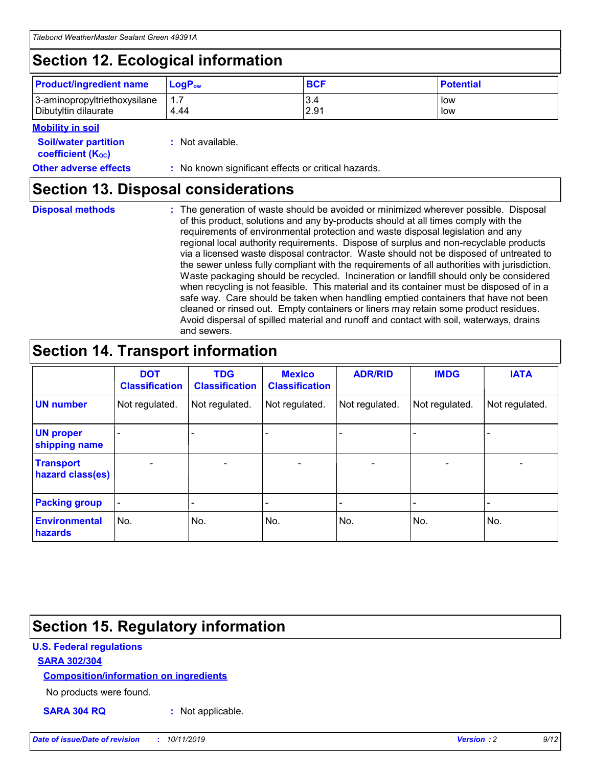## **Section 12. Ecological information**

| <b>Product/ingredient name</b> | $LoaPow$ | <b>BCF</b> | <b>Potential</b> |
|--------------------------------|----------|------------|------------------|
| 3-aminopropyltriethoxysilane   | 1.7      | 3.4        | low              |
| Dibutyltin dilaurate           | 4.44     | 2.91       | low              |

#### **Mobility in soil**

| <b>Soil/water partition</b><br>coefficient (K <sub>oc</sub> ) | : Not available.                                    |
|---------------------------------------------------------------|-----------------------------------------------------|
| <b>Other adverse effects</b>                                  | : No known significant effects or critical hazards. |

### **Section 13. Disposal considerations**

**Disposal methods :**

The generation of waste should be avoided or minimized wherever possible. Disposal of this product, solutions and any by-products should at all times comply with the requirements of environmental protection and waste disposal legislation and any regional local authority requirements. Dispose of surplus and non-recyclable products via a licensed waste disposal contractor. Waste should not be disposed of untreated to the sewer unless fully compliant with the requirements of all authorities with jurisdiction. Waste packaging should be recycled. Incineration or landfill should only be considered when recycling is not feasible. This material and its container must be disposed of in a safe way. Care should be taken when handling emptied containers that have not been cleaned or rinsed out. Empty containers or liners may retain some product residues. Avoid dispersal of spilled material and runoff and contact with soil, waterways, drains and sewers.

## **Section 14. Transport information**

|                                      | <b>DOT</b><br><b>Classification</b> | <b>TDG</b><br><b>Classification</b> | <b>Mexico</b><br><b>Classification</b> | <b>ADR/RID</b> | <b>IMDG</b>              | <b>IATA</b>              |
|--------------------------------------|-------------------------------------|-------------------------------------|----------------------------------------|----------------|--------------------------|--------------------------|
| <b>UN number</b>                     | Not regulated.                      | Not regulated.                      | Not regulated.                         | Not regulated. | Not regulated.           | Not regulated.           |
| <b>UN proper</b><br>shipping name    | $\blacksquare$                      |                                     |                                        |                |                          |                          |
| <b>Transport</b><br>hazard class(es) | $\blacksquare$                      | $\overline{\phantom{a}}$            | $\blacksquare$                         | $\blacksquare$ | $\overline{\phantom{a}}$ | $\overline{\phantom{0}}$ |
| <b>Packing group</b>                 | $\overline{\phantom{a}}$            | $\overline{\phantom{0}}$            | $\overline{\phantom{a}}$               | -              | $\overline{\phantom{0}}$ | $\overline{\phantom{a}}$ |
| <b>Environmental</b><br>hazards      | No.                                 | No.                                 | No.                                    | No.            | No.                      | No.                      |

## **Section 15. Regulatory information**

#### **U.S. Federal regulations**

#### **SARA 302/304**

#### **Composition/information on ingredients**

No products were found.

**SARA 304 RQ :** Not applicable.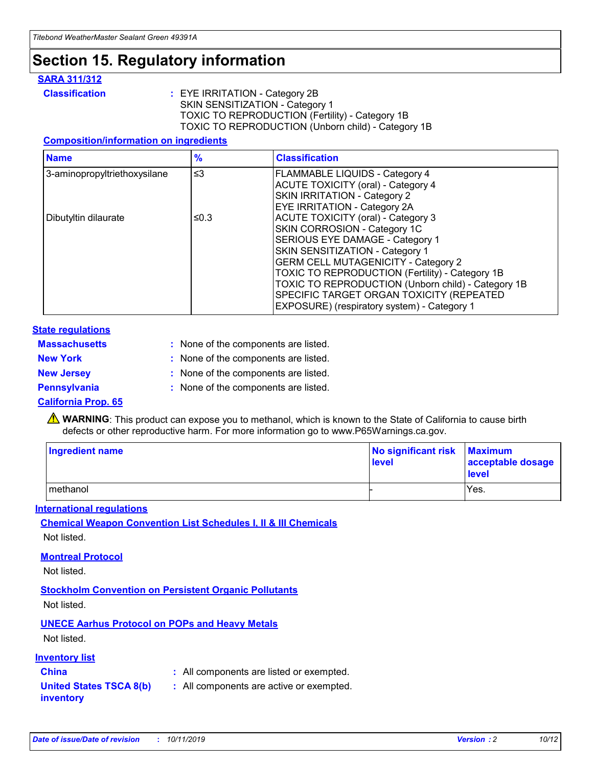### **Section 15. Regulatory information**

#### **SARA 311/312**

**Classification :** EYE IRRITATION - Category 2B SKIN SENSITIZATION - Category 1 TOXIC TO REPRODUCTION (Fertility) - Category 1B TOXIC TO REPRODUCTION (Unborn child) - Category 1B

#### **Composition/information on ingredients**

| <b>Name</b>                  | $\frac{9}{6}$ | <b>Classification</b>                                                                                            |
|------------------------------|---------------|------------------------------------------------------------------------------------------------------------------|
| 3-aminopropyltriethoxysilane | $\leq$ 3      | <b>FLAMMABLE LIQUIDS - Category 4</b><br><b>ACUTE TOXICITY (oral) - Category 4</b>                               |
|                              |               | SKIN IRRITATION - Category 2<br>EYE IRRITATION - Category 2A                                                     |
| Dibutyltin dilaurate         | ≤0.3          | ACUTE TOXICITY (oral) - Category 3<br>SKIN CORROSION - Category 1C                                               |
|                              |               | SERIOUS EYE DAMAGE - Category 1<br>SKIN SENSITIZATION - Category 1<br><b>GERM CELL MUTAGENICITY - Category 2</b> |
|                              |               | TOXIC TO REPRODUCTION (Fertility) - Category 1B<br>TOXIC TO REPRODUCTION (Unborn child) - Category 1B            |
|                              |               | SPECIFIC TARGET ORGAN TOXICITY (REPEATED<br>EXPOSURE) (respiratory system) - Category 1                          |

#### **State regulations**

| <b>Massachusetts</b> | : None of the components are listed. |
|----------------------|--------------------------------------|
| <b>New York</b>      | : None of the components are listed. |
| <b>New Jersey</b>    | : None of the components are listed. |
| <b>Pennsylvania</b>  | : None of the components are listed. |

#### **California Prop. 65**

**A** WARNING: This product can expose you to methanol, which is known to the State of California to cause birth defects or other reproductive harm. For more information go to www.P65Warnings.ca.gov.

| <b>Ingredient name</b> | No significant risk Maximum<br>level | acceptable dosage<br>level |
|------------------------|--------------------------------------|----------------------------|
| methanol               |                                      | Yes.                       |

#### **International regulations**

**Chemical Weapon Convention List Schedules I, II & III Chemicals** Not listed.

#### **Montreal Protocol**

Not listed.

#### **Stockholm Convention on Persistent Organic Pollutants**

Not listed.

### **UNECE Aarhus Protocol on POPs and Heavy Metals**

Not listed.

#### **Inventory list**

### **China :** All components are listed or exempted.

**United States TSCA 8(b) inventory :** All components are active or exempted.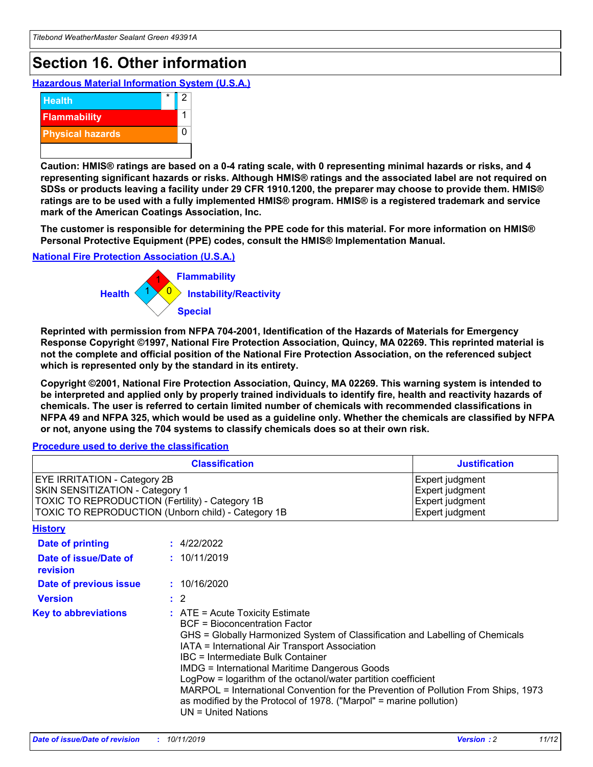## **Section 16. Other information**

**Hazardous Material Information System (U.S.A.)**



**Caution: HMIS® ratings are based on a 0-4 rating scale, with 0 representing minimal hazards or risks, and 4 representing significant hazards or risks. Although HMIS® ratings and the associated label are not required on SDSs or products leaving a facility under 29 CFR 1910.1200, the preparer may choose to provide them. HMIS® ratings are to be used with a fully implemented HMIS® program. HMIS® is a registered trademark and service mark of the American Coatings Association, Inc.**

**The customer is responsible for determining the PPE code for this material. For more information on HMIS® Personal Protective Equipment (PPE) codes, consult the HMIS® Implementation Manual.**

#### **National Fire Protection Association (U.S.A.)**



**Reprinted with permission from NFPA 704-2001, Identification of the Hazards of Materials for Emergency Response Copyright ©1997, National Fire Protection Association, Quincy, MA 02269. This reprinted material is not the complete and official position of the National Fire Protection Association, on the referenced subject which is represented only by the standard in its entirety.**

**Copyright ©2001, National Fire Protection Association, Quincy, MA 02269. This warning system is intended to be interpreted and applied only by properly trained individuals to identify fire, health and reactivity hazards of chemicals. The user is referred to certain limited number of chemicals with recommended classifications in NFPA 49 and NFPA 325, which would be used as a guideline only. Whether the chemicals are classified by NFPA or not, anyone using the 704 systems to classify chemicals does so at their own risk.**

#### **Procedure used to derive the classification**

| <b>Classification</b>                                                                                                                                                                  |                                                                                                                                                                                                                                                                   | <b>Justification</b>                                                                                                                                                                                                                                                                                       |  |
|----------------------------------------------------------------------------------------------------------------------------------------------------------------------------------------|-------------------------------------------------------------------------------------------------------------------------------------------------------------------------------------------------------------------------------------------------------------------|------------------------------------------------------------------------------------------------------------------------------------------------------------------------------------------------------------------------------------------------------------------------------------------------------------|--|
| <b>EYE IRRITATION - Category 2B</b><br>SKIN SENSITIZATION - Category 1<br><b>TOXIC TO REPRODUCTION (Fertility) - Category 1B</b><br>TOXIC TO REPRODUCTION (Unborn child) - Category 1B |                                                                                                                                                                                                                                                                   | Expert judgment<br>Expert judgment<br>Expert judgment<br>Expert judgment                                                                                                                                                                                                                                   |  |
| <b>History</b>                                                                                                                                                                         |                                                                                                                                                                                                                                                                   |                                                                                                                                                                                                                                                                                                            |  |
| <b>Date of printing</b>                                                                                                                                                                | : 4/22/2022                                                                                                                                                                                                                                                       |                                                                                                                                                                                                                                                                                                            |  |
| Date of issue/Date of<br>revision                                                                                                                                                      | : 10/11/2019                                                                                                                                                                                                                                                      |                                                                                                                                                                                                                                                                                                            |  |
| Date of previous issue                                                                                                                                                                 | : 10/16/2020                                                                                                                                                                                                                                                      |                                                                                                                                                                                                                                                                                                            |  |
| <b>Version</b>                                                                                                                                                                         | $\therefore$ 2                                                                                                                                                                                                                                                    |                                                                                                                                                                                                                                                                                                            |  |
| <b>Key to abbreviations</b>                                                                                                                                                            | $\therefore$ ATE = Acute Toxicity Estimate<br><b>BCF</b> = Bioconcentration Factor<br>IATA = International Air Transport Association<br><b>IBC</b> = Intermediate Bulk Container<br><b>IMDG = International Maritime Dangerous Goods</b><br>$UN = United Nations$ | GHS = Globally Harmonized System of Classification and Labelling of Chemicals<br>LogPow = logarithm of the octanol/water partition coefficient<br>MARPOL = International Convention for the Prevention of Pollution From Ships, 1973<br>as modified by the Protocol of 1978. ("Marpol" = marine pollution) |  |